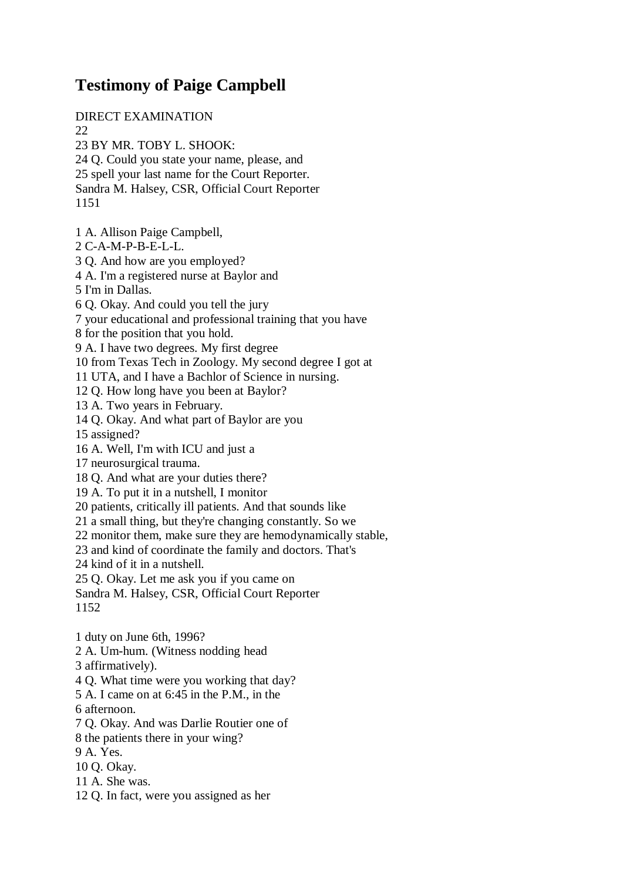## **Testimony of Paige Campbell**

DIRECT EXAMINATION 22 23 BY MR. TOBY L. SHOOK: 24 Q. Could you state your name, please, and 25 spell your last name for the Court Reporter. Sandra M. Halsey, CSR, Official Court Reporter 1151 1 A. Allison Paige Campbell, 2 C-A-M-P-B-E-L-L. 3 Q. And how are you employed? 4 A. I'm a registered nurse at Baylor and 5 I'm in Dallas. 6 Q. Okay. And could you tell the jury 7 your educational and professional training that you have 8 for the position that you hold. 9 A. I have two degrees. My first degree 10 from Texas Tech in Zoology. My second degree I got at 11 UTA, and I have a Bachlor of Science in nursing. 12 Q. How long have you been at Baylor? 13 A. Two years in February. 14 Q. Okay. And what part of Baylor are you 15 assigned? 16 A. Well, I'm with ICU and just a 17 neurosurgical trauma. 18 Q. And what are your duties there? 19 A. To put it in a nutshell, I monitor 20 patients, critically ill patients. And that sounds like 21 a small thing, but they're changing constantly. So we 22 monitor them, make sure they are hemodynamically stable, 23 and kind of coordinate the family and doctors. That's 24 kind of it in a nutshell. 25 Q. Okay. Let me ask you if you came on Sandra M. Halsey, CSR, Official Court Reporter 1152 1 duty on June 6th, 1996? 2 A. Um-hum. (Witness nodding head 3 affirmatively). 4 Q. What time were you working that day? 5 A. I came on at 6:45 in the P.M., in the 6 afternoon. 7 Q. Okay. And was Darlie Routier one of 8 the patients there in your wing? 9 A. Yes. 10 Q. Okay. 11 A. She was. 12 Q. In fact, were you assigned as her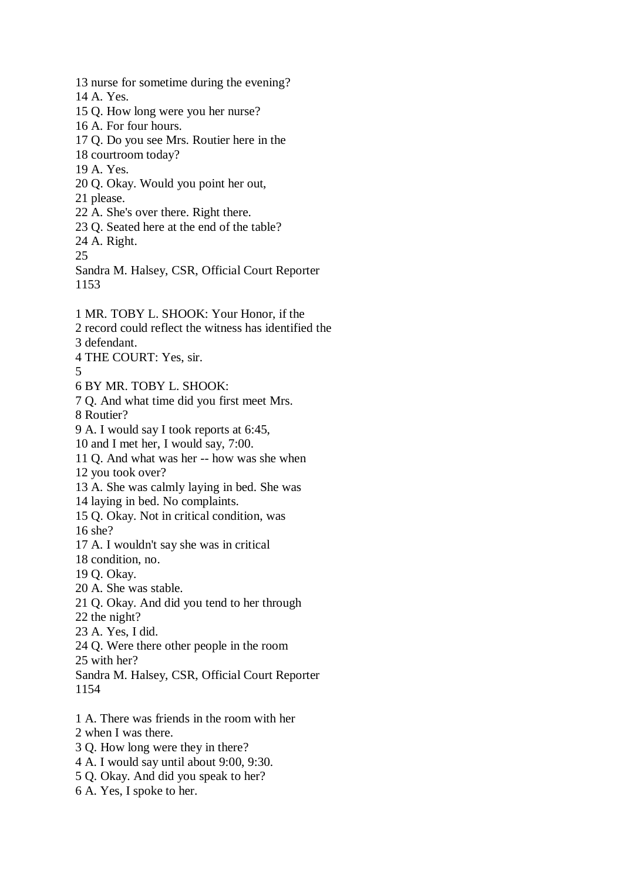13 nurse for sometime during the evening? 14 A. Yes. 15 Q. How long were you her nurse? 16 A. For four hours. 17 Q. Do you see Mrs. Routier here in the 18 courtroom today? 19 A. Yes. 20 Q. Okay. Would you point her out, 21 please. 22 A. She's over there. Right there. 23 Q. Seated here at the end of the table? 24 A. Right. 25 Sandra M. Halsey, CSR, Official Court Reporter 1153 1 MR. TOBY L. SHOOK: Your Honor, if the 2 record could reflect the witness has identified the 3 defendant. 4 THE COURT: Yes, sir. 5 6 BY MR. TOBY L. SHOOK: 7 Q. And what time did you first meet Mrs. 8 Routier? 9 A. I would say I took reports at 6:45, 10 and I met her, I would say, 7:00. 11 Q. And what was her -- how was she when 12 you took over? 13 A. She was calmly laying in bed. She was 14 laying in bed. No complaints. 15 Q. Okay. Not in critical condition, was 16 she? 17 A. I wouldn't say she was in critical 18 condition, no. 19 Q. Okay. 20 A. She was stable. 21 Q. Okay. And did you tend to her through 22 the night? 23 A. Yes, I did. 24 Q. Were there other people in the room 25 with her? Sandra M. Halsey, CSR, Official Court Reporter 1154 1 A. There was friends in the room with her 2 when I was there. 3 Q. How long were they in there? 4 A. I would say until about 9:00, 9:30. 5 Q. Okay. And did you speak to her?

6 A. Yes, I spoke to her.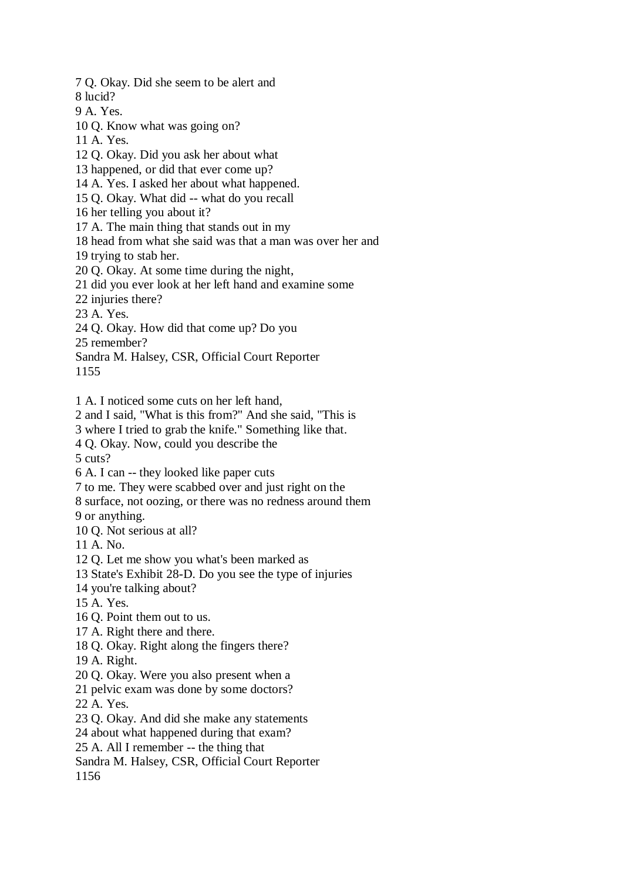7 Q. Okay. Did she seem to be alert and 8 lucid? 9 A. Yes. 10 Q. Know what was going on? 11 A. Yes. 12 Q. Okay. Did you ask her about what 13 happened, or did that ever come up? 14 A. Yes. I asked her about what happened. 15 Q. Okay. What did -- what do you recall 16 her telling you about it? 17 A. The main thing that stands out in my 18 head from what she said was that a man was over her and 19 trying to stab her. 20 Q. Okay. At some time during the night, 21 did you ever look at her left hand and examine some 22 injuries there? 23 A. Yes. 24 Q. Okay. How did that come up? Do you 25 remember? Sandra M. Halsey, CSR, Official Court Reporter 1155 1 A. I noticed some cuts on her left hand, 2 and I said, "What is this from?" And she said, "This is 3 where I tried to grab the knife." Something like that. 4 Q. Okay. Now, could you describe the 5 cuts? 6 A. I can -- they looked like paper cuts 7 to me. They were scabbed over and just right on the 8 surface, not oozing, or there was no redness around them 9 or anything. 10 Q. Not serious at all? 11 A. No. 12 Q. Let me show you what's been marked as 13 State's Exhibit 28-D. Do you see the type of injuries 14 you're talking about? 15 A. Yes. 16 Q. Point them out to us. 17 A. Right there and there. 18 Q. Okay. Right along the fingers there? 19 A. Right. 20 Q. Okay. Were you also present when a 21 pelvic exam was done by some doctors? 22 A. Yes. 23 Q. Okay. And did she make any statements 24 about what happened during that exam? 25 A. All I remember -- the thing that Sandra M. Halsey, CSR, Official Court Reporter 1156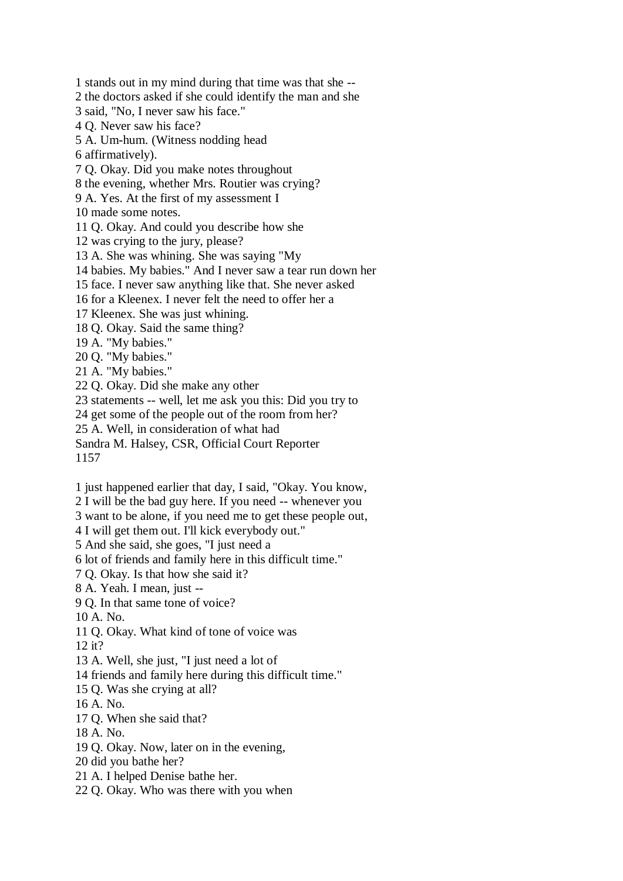1 stands out in my mind during that time was that she -- 2 the doctors asked if she could identify the man and she 3 said, "No, I never saw his face." 4 Q. Never saw his face? 5 A. Um-hum. (Witness nodding head 6 affirmatively). 7 Q. Okay. Did you make notes throughout 8 the evening, whether Mrs. Routier was crying? 9 A. Yes. At the first of my assessment I 10 made some notes. 11 Q. Okay. And could you describe how she 12 was crying to the jury, please? 13 A. She was whining. She was saying "My 14 babies. My babies." And I never saw a tear run down her 15 face. I never saw anything like that. She never asked 16 for a Kleenex. I never felt the need to offer her a 17 Kleenex. She was just whining. 18 Q. Okay. Said the same thing? 19 A. "My babies." 20 Q. "My babies." 21 A. "My babies." 22 Q. Okay. Did she make any other 23 statements -- well, let me ask you this: Did you try to 24 get some of the people out of the room from her? 25 A. Well, in consideration of what had Sandra M. Halsey, CSR, Official Court Reporter 1157

1 just happened earlier that day, I said, "Okay. You know,

2 I will be the bad guy here. If you need -- whenever you

3 want to be alone, if you need me to get these people out,

4 I will get them out. I'll kick everybody out."

5 And she said, she goes, "I just need a

6 lot of friends and family here in this difficult time."

7 Q. Okay. Is that how she said it?

8 A. Yeah. I mean, just --

9 Q. In that same tone of voice?

10 A. No.

11 Q. Okay. What kind of tone of voice was

12 it?

13 A. Well, she just, "I just need a lot of

14 friends and family here during this difficult time."

15 Q. Was she crying at all?

16 A. No.

17 Q. When she said that?

18 A. No.

19 Q. Okay. Now, later on in the evening,

20 did you bathe her?

21 A. I helped Denise bathe her.

22 Q. Okay. Who was there with you when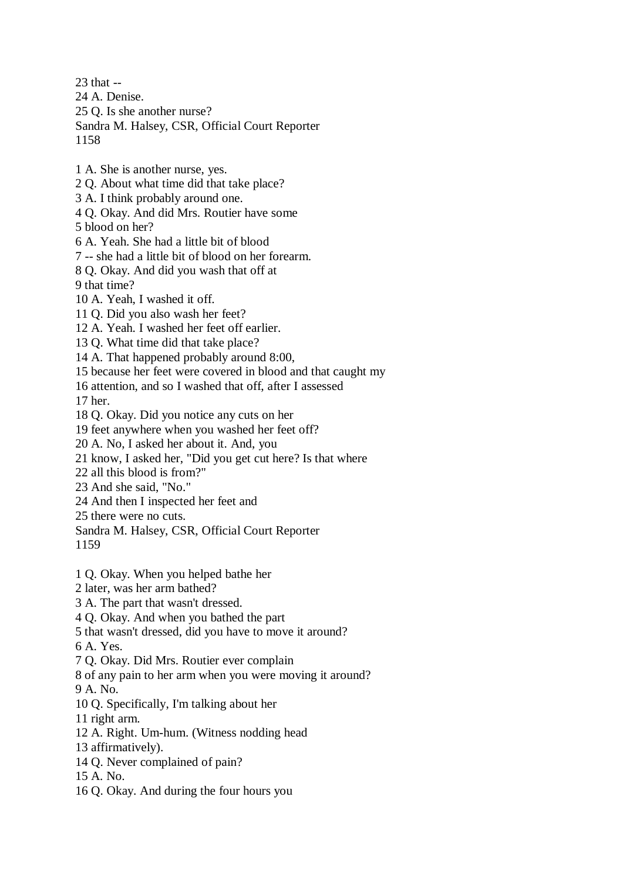23 that -- 24 A. Denise. 25 Q. Is she another nurse? Sandra M. Halsey, CSR, Official Court Reporter 1158 1 A. She is another nurse, yes. 2 Q. About what time did that take place? 3 A. I think probably around one. 4 Q. Okay. And did Mrs. Routier have some 5 blood on her? 6 A. Yeah. She had a little bit of blood 7 -- she had a little bit of blood on her forearm. 8 Q. Okay. And did you wash that off at 9 that time? 10 A. Yeah, I washed it off. 11 Q. Did you also wash her feet? 12 A. Yeah. I washed her feet off earlier. 13 Q. What time did that take place? 14 A. That happened probably around 8:00, 15 because her feet were covered in blood and that caught my 16 attention, and so I washed that off, after I assessed 17 her. 18 Q. Okay. Did you notice any cuts on her 19 feet anywhere when you washed her feet off? 20 A. No, I asked her about it. And, you 21 know, I asked her, "Did you get cut here? Is that where 22 all this blood is from?" 23 And she said, "No." 24 And then I inspected her feet and 25 there were no cuts. Sandra M. Halsey, CSR, Official Court Reporter 1159 1 Q. Okay. When you helped bathe her 2 later, was her arm bathed? 3 A. The part that wasn't dressed. 4 Q. Okay. And when you bathed the part 5 that wasn't dressed, did you have to move it around? 6 A. Yes. 7 Q. Okay. Did Mrs. Routier ever complain 8 of any pain to her arm when you were moving it around? 9 A. No. 10 Q. Specifically, I'm talking about her 11 right arm. 12 A. Right. Um-hum. (Witness nodding head 13 affirmatively). 14 Q. Never complained of pain? 15 A. No. 16 Q. Okay. And during the four hours you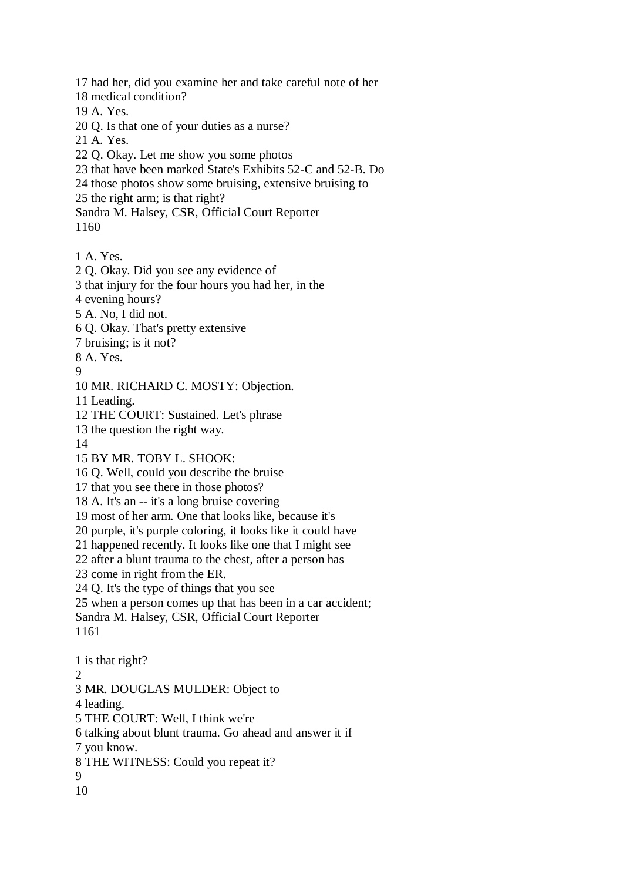17 had her, did you examine her and take careful note of her

18 medical condition?

19 A. Yes.

- 20 Q. Is that one of your duties as a nurse?
- 21 A. Yes.
- 22 Q. Okay. Let me show you some photos
- 23 that have been marked State's Exhibits 52-C and 52-B. Do
- 24 those photos show some bruising, extensive bruising to
- 25 the right arm; is that right?

Sandra M. Halsey, CSR, Official Court Reporter 1160

- 1 A. Yes.
- 2 Q. Okay. Did you see any evidence of
- 3 that injury for the four hours you had her, in the
- 4 evening hours?
- 5 A. No, I did not.
- 6 Q. Okay. That's pretty extensive
- 7 bruising; is it not?
- 8 A. Yes.
- 9
- 10 MR. RICHARD C. MOSTY: Objection.
- 11 Leading.
- 12 THE COURT: Sustained. Let's phrase
- 13 the question the right way.
- 14
- 15 BY MR. TOBY L. SHOOK:
- 16 Q. Well, could you describe the bruise
- 17 that you see there in those photos?
- 18 A. It's an -- it's a long bruise covering
- 19 most of her arm. One that looks like, because it's
- 20 purple, it's purple coloring, it looks like it could have
- 21 happened recently. It looks like one that I might see
- 22 after a blunt trauma to the chest, after a person has
- 23 come in right from the ER.
- 24 Q. It's the type of things that you see
- 25 when a person comes up that has been in a car accident; Sandra M. Halsey, CSR, Official Court Reporter
- 1161
- 1 is that right?  $\mathcal{L}$ 3 MR. DOUGLAS MULDER: Object to 4 leading. 5 THE COURT: Well, I think we're 6 talking about blunt trauma. Go ahead and answer it if 7 you know.
- 8 THE WITNESS: Could you repeat it?
- 9
- 10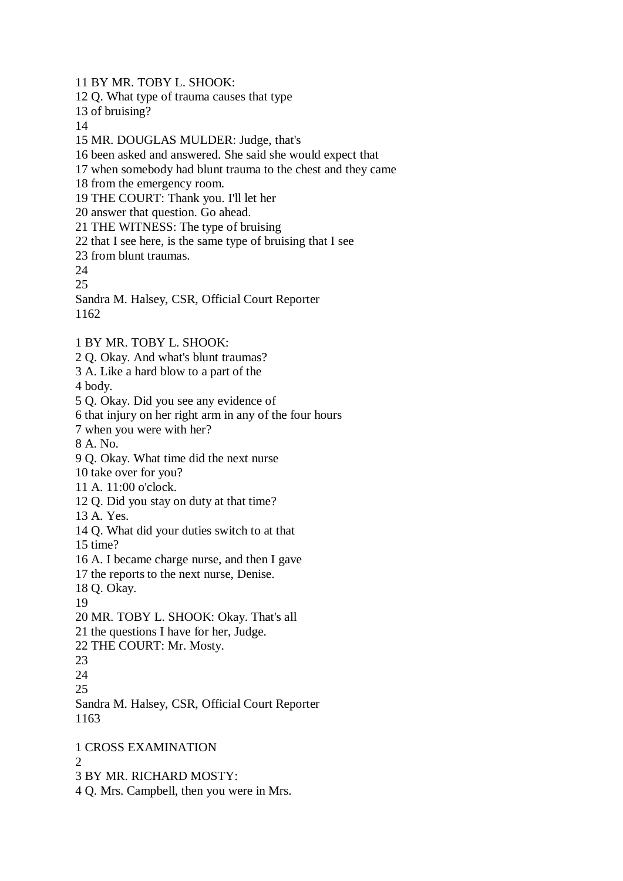11 BY MR. TOBY L. SHOOK:

12 Q. What type of trauma causes that type

13 of bruising?

14

15 MR. DOUGLAS MULDER: Judge, that's

16 been asked and answered. She said she would expect that

- 17 when somebody had blunt trauma to the chest and they came
- 18 from the emergency room.

19 THE COURT: Thank you. I'll let her

20 answer that question. Go ahead.

21 THE WITNESS: The type of bruising

22 that I see here, is the same type of bruising that I see

23 from blunt traumas.

24

25

Sandra M. Halsey, CSR, Official Court Reporter 1162

- 1 BY MR. TOBY L. SHOOK:
- 2 Q. Okay. And what's blunt traumas?
- 3 A. Like a hard blow to a part of the

4 body.

5 Q. Okay. Did you see any evidence of

6 that injury on her right arm in any of the four hours

7 when you were with her?

8 A. No.

9 Q. Okay. What time did the next nurse

10 take over for you?

11 A. 11:00 o'clock.

12 Q. Did you stay on duty at that time?

13 A. Yes.

14 Q. What did your duties switch to at that

15 time?

16 A. I became charge nurse, and then I gave

17 the reports to the next nurse, Denise.

18 Q. Okay.

19

20 MR. TOBY L. SHOOK: Okay. That's all

21 the questions I have for her, Judge.

22 THE COURT: Mr. Mosty.

23

24

25

Sandra M. Halsey, CSR, Official Court Reporter 1163

1 CROSS EXAMINATION

 $\Omega$ 

3 BY MR. RICHARD MOSTY:

4 Q. Mrs. Campbell, then you were in Mrs.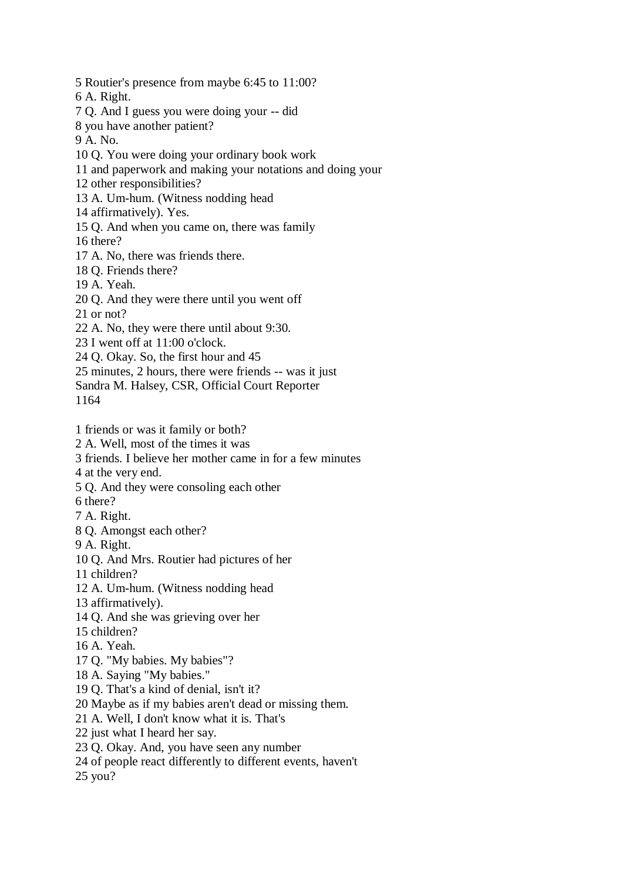5 Routier's presence from maybe 6:45 to 11:00?

6 A. Right.

- 7 Q. And I guess you were doing your -- did
- 8 you have another patient?
- 9 A. No.
- 10 Q. You were doing your ordinary book work
- 11 and paperwork and making your notations and doing your
- 12 other responsibilities?
- 13 A. Um-hum. (Witness nodding head
- 14 affirmatively). Yes.
- 15 Q. And when you came on, there was family

16 there?

- 17 A. No, there was friends there.
- 18 Q. Friends there?
- 19 A. Yeah.
- 20 Q. And they were there until you went off
- 21 or not?
- 22 A. No, they were there until about 9:30.
- 23 I went off at 11:00 o'clock.
- 24 Q. Okay. So, the first hour and 45
- 25 minutes, 2 hours, there were friends -- was it just
- Sandra M. Halsey, CSR, Official Court Reporter

1164

- 1 friends or was it family or both?
- 2 A. Well, most of the times it was
- 3 friends. I believe her mother came in for a few minutes
- 4 at the very end.
- 5 Q. And they were consoling each other
- 6 there?
- 7 A. Right.
- 8 Q. Amongst each other?
- 9 A. Right.
- 10 Q. And Mrs. Routier had pictures of her
- 11 children?
- 12 A. Um-hum. (Witness nodding head
- 13 affirmatively).
- 14 Q. And she was grieving over her
- 15 children?
- 16 A. Yeah.
- 17 Q. "My babies. My babies"?
- 18 A. Saying "My babies."
- 19 Q. That's a kind of denial, isn't it?
- 20 Maybe as if my babies aren't dead or missing them.
- 21 A. Well, I don't know what it is. That's
- 22 just what I heard her say.
- 23 Q. Okay. And, you have seen any number
- 24 of people react differently to different events, haven't
- 25 you?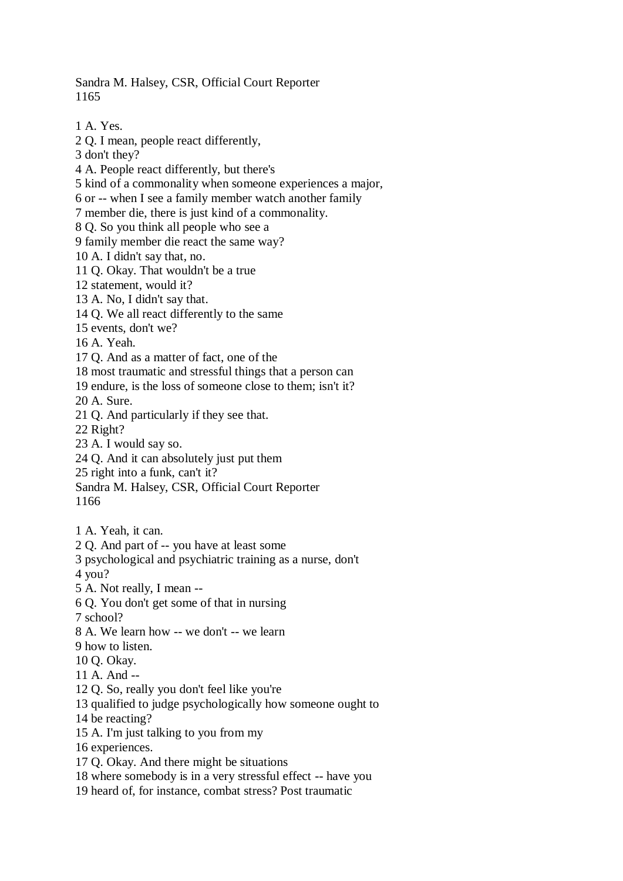Sandra M. Halsey, CSR, Official Court Reporter 1165

1 A. Yes.

2 Q. I mean, people react differently,

3 don't they?

4 A. People react differently, but there's

5 kind of a commonality when someone experiences a major,

6 or -- when I see a family member watch another family

7 member die, there is just kind of a commonality.

8 Q. So you think all people who see a

9 family member die react the same way?

10 A. I didn't say that, no.

11 Q. Okay. That wouldn't be a true

12 statement, would it?

13 A. No, I didn't say that.

14 Q. We all react differently to the same

15 events, don't we?

16 A. Yeah.

17 Q. And as a matter of fact, one of the

18 most traumatic and stressful things that a person can

19 endure, is the loss of someone close to them; isn't it?

20 A. Sure.

21 Q. And particularly if they see that.

22 Right?

23 A. I would say so.

24 Q. And it can absolutely just put them

25 right into a funk, can't it?

Sandra M. Halsey, CSR, Official Court Reporter

1166

1 A. Yeah, it can.

2 Q. And part of -- you have at least some

3 psychological and psychiatric training as a nurse, don't

4 you?

5 A. Not really, I mean --

6 Q. You don't get some of that in nursing

7 school?

8 A. We learn how -- we don't -- we learn

9 how to listen.

10 Q. Okay.

11 A. And --

12 Q. So, really you don't feel like you're

13 qualified to judge psychologically how someone ought to

14 be reacting?

15 A. I'm just talking to you from my

16 experiences.

17 Q. Okay. And there might be situations

18 where somebody is in a very stressful effect -- have you

19 heard of, for instance, combat stress? Post traumatic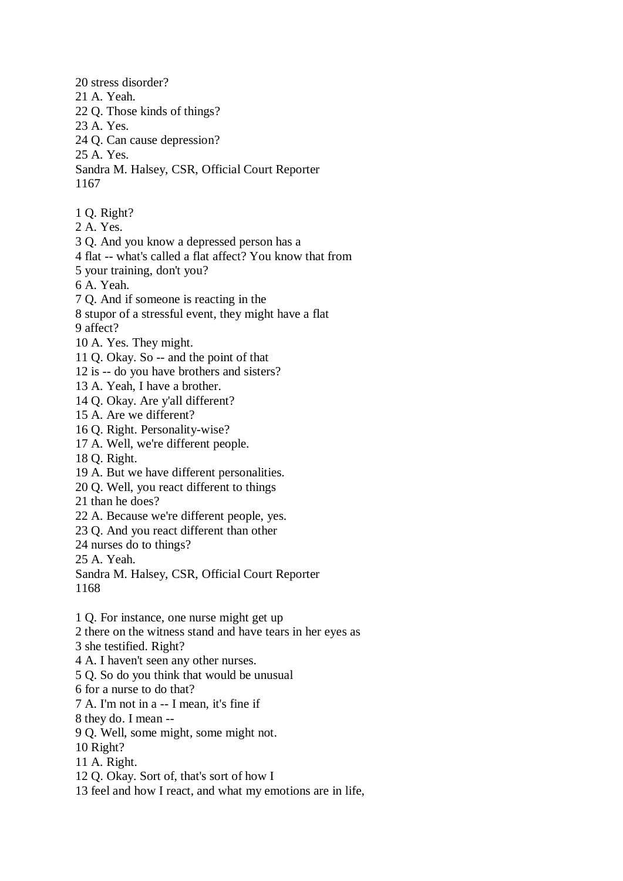20 stress disorder? 21 A. Yeah. 22 Q. Those kinds of things? 23 A. Yes. 24 Q. Can cause depression? 25 A. Yes. Sandra M. Halsey, CSR, Official Court Reporter 1167 1 Q. Right? 2 A. Yes. 3 Q. And you know a depressed person has a 4 flat -- what's called a flat affect? You know that from 5 your training, don't you? 6 A. Yeah. 7 Q. And if someone is reacting in the 8 stupor of a stressful event, they might have a flat 9 affect? 10 A. Yes. They might. 11 Q. Okay. So -- and the point of that 12 is -- do you have brothers and sisters? 13 A. Yeah, I have a brother. 14 Q. Okay. Are y'all different? 15 A. Are we different? 16 Q. Right. Personality-wise? 17 A. Well, we're different people. 18 Q. Right. 19 A. But we have different personalities. 20 Q. Well, you react different to things 21 than he does? 22 A. Because we're different people, yes. 23 Q. And you react different than other 24 nurses do to things? 25 A. Yeah. Sandra M. Halsey, CSR, Official Court Reporter 1168 1 Q. For instance, one nurse might get up 2 there on the witness stand and have tears in her eyes as 3 she testified. Right? 4 A. I haven't seen any other nurses. 5 Q. So do you think that would be unusual 6 for a nurse to do that? 7 A. I'm not in a -- I mean, it's fine if 8 they do. I mean -- 9 Q. Well, some might, some might not. 10 Right? 11 A. Right. 12 Q. Okay. Sort of, that's sort of how I 13 feel and how I react, and what my emotions are in life,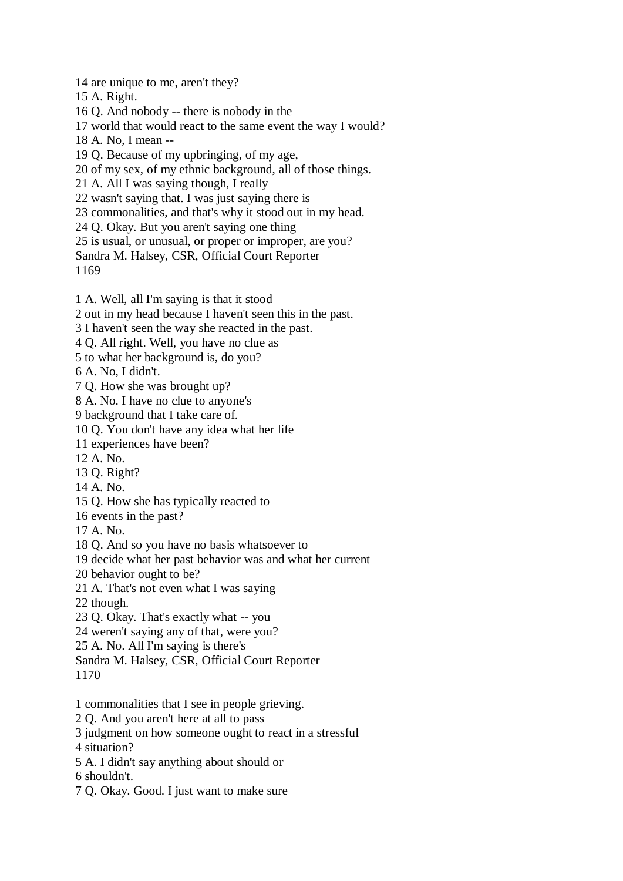14 are unique to me, aren't they?

15 A. Right.

16 Q. And nobody -- there is nobody in the

17 world that would react to the same event the way I would?

18 A. No, I mean --

19 Q. Because of my upbringing, of my age,

20 of my sex, of my ethnic background, all of those things.

21 A. All I was saying though, I really

22 wasn't saying that. I was just saying there is

23 commonalities, and that's why it stood out in my head.

24 Q. Okay. But you aren't saying one thing

25 is usual, or unusual, or proper or improper, are you?

Sandra M. Halsey, CSR, Official Court Reporter

1169

1 A. Well, all I'm saying is that it stood

2 out in my head because I haven't seen this in the past.

3 I haven't seen the way she reacted in the past.

4 Q. All right. Well, you have no clue as

5 to what her background is, do you?

6 A. No, I didn't.

7 Q. How she was brought up?

8 A. No. I have no clue to anyone's

9 background that I take care of.

10 Q. You don't have any idea what her life

11 experiences have been?

12 A. No.

13 Q. Right?

14 A. No.

15 Q. How she has typically reacted to

16 events in the past?

17 A. No.

18 Q. And so you have no basis whatsoever to

19 decide what her past behavior was and what her current

20 behavior ought to be?

21 A. That's not even what I was saying

22 though.

23 Q. Okay. That's exactly what -- you

24 weren't saying any of that, were you?

25 A. No. All I'm saying is there's

Sandra M. Halsey, CSR, Official Court Reporter

1170

1 commonalities that I see in people grieving.

2 Q. And you aren't here at all to pass

3 judgment on how someone ought to react in a stressful

4 situation?

5 A. I didn't say anything about should or

6 shouldn't.

7 Q. Okay. Good. I just want to make sure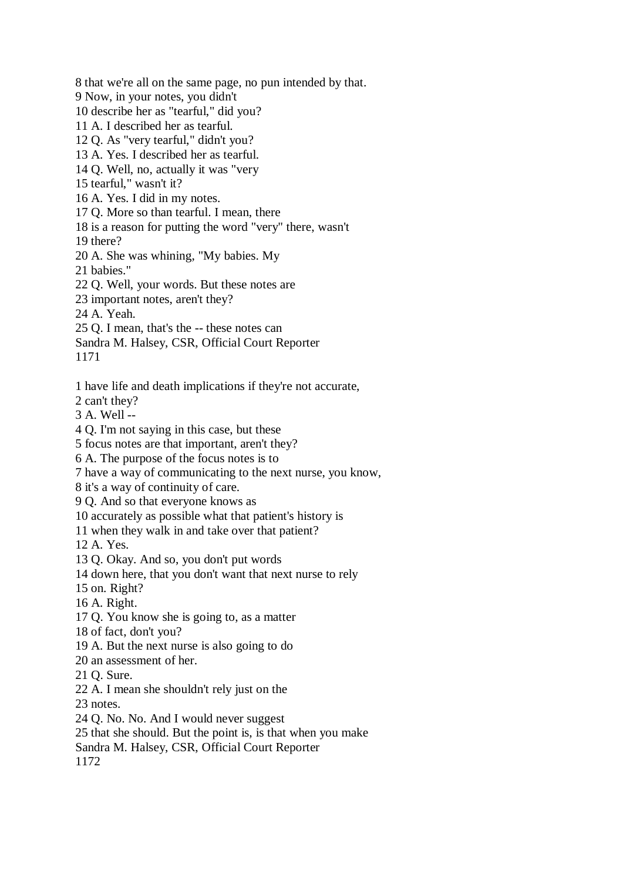8 that we're all on the same page, no pun intended by that. 9 Now, in your notes, you didn't 10 describe her as "tearful," did you? 11 A. I described her as tearful. 12 Q. As "very tearful," didn't you? 13 A. Yes. I described her as tearful. 14 Q. Well, no, actually it was "very 15 tearful," wasn't it? 16 A. Yes. I did in my notes. 17 Q. More so than tearful. I mean, there 18 is a reason for putting the word "very" there, wasn't 19 there? 20 A. She was whining, "My babies. My 21 babies." 22 Q. Well, your words. But these notes are 23 important notes, aren't they? 24 A. Yeah. 25 Q. I mean, that's the -- these notes can Sandra M. Halsey, CSR, Official Court Reporter 1171 1 have life and death implications if they're not accurate, 2 can't they? 3 A. Well -- 4 Q. I'm not saying in this case, but these 5 focus notes are that important, aren't they? 6 A. The purpose of the focus notes is to 7 have a way of communicating to the next nurse, you know, 8 it's a way of continuity of care. 9 Q. And so that everyone knows as 10 accurately as possible what that patient's history is 11 when they walk in and take over that patient? 12 A. Yes. 13 Q. Okay. And so, you don't put words 14 down here, that you don't want that next nurse to rely 15 on. Right? 16 A. Right. 17 Q. You know she is going to, as a matter 18 of fact, don't you? 19 A. But the next nurse is also going to do 20 an assessment of her. 21 Q. Sure. 22 A. I mean she shouldn't rely just on the 23 notes. 24 Q. No. No. And I would never suggest 25 that she should. But the point is, is that when you make Sandra M. Halsey, CSR, Official Court Reporter

1172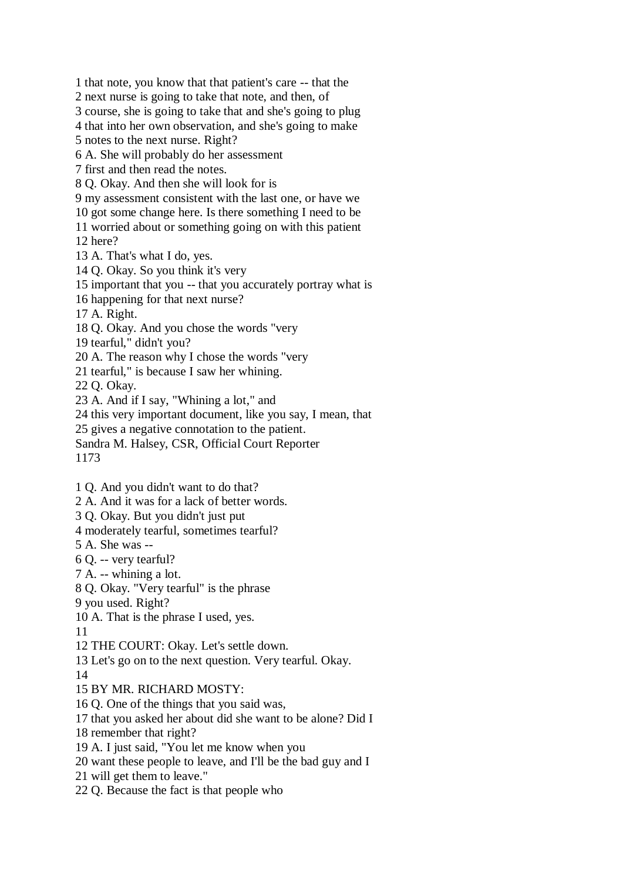1 that note, you know that that patient's care -- that the 2 next nurse is going to take that note, and then, of 3 course, she is going to take that and she's going to plug 4 that into her own observation, and she's going to make 5 notes to the next nurse. Right? 6 A. She will probably do her assessment 7 first and then read the notes. 8 Q. Okay. And then she will look for is 9 my assessment consistent with the last one, or have we 10 got some change here. Is there something I need to be 11 worried about or something going on with this patient 12 here? 13 A. That's what I do, yes. 14 Q. Okay. So you think it's very 15 important that you -- that you accurately portray what is 16 happening for that next nurse? 17 A. Right. 18 Q. Okay. And you chose the words "very 19 tearful," didn't you? 20 A. The reason why I chose the words "very 21 tearful," is because I saw her whining. 22 Q. Okay. 23 A. And if I say, "Whining a lot," and 24 this very important document, like you say, I mean, that 25 gives a negative connotation to the patient. Sandra M. Halsey, CSR, Official Court Reporter 1173 1 Q. And you didn't want to do that? 2 A. And it was for a lack of better words. 3 Q. Okay. But you didn't just put 4 moderately tearful, sometimes tearful? 5 A. She was -- 6 Q. -- very tearful? 7 A. -- whining a lot. 8 Q. Okay. "Very tearful" is the phrase 9 you used. Right? 10 A. That is the phrase I used, yes. 11 12 THE COURT: Okay. Let's settle down. 13 Let's go on to the next question. Very tearful. Okay. 14 15 BY MR. RICHARD MOSTY: 16 Q. One of the things that you said was, 17 that you asked her about did she want to be alone? Did I 18 remember that right? 19 A. I just said, "You let me know when you 20 want these people to leave, and I'll be the bad guy and I 21 will get them to leave." 22 Q. Because the fact is that people who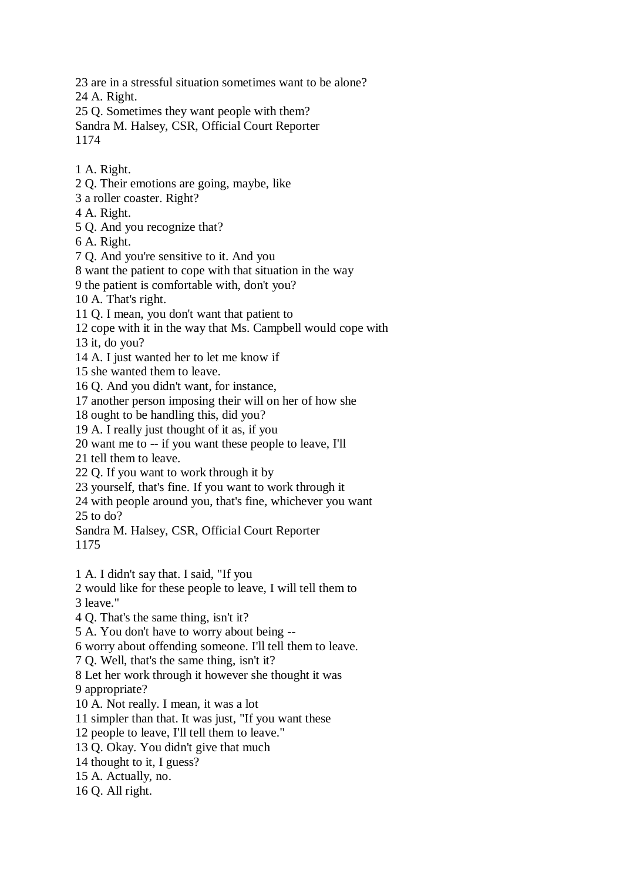23 are in a stressful situation sometimes want to be alone?

24 A. Right.

25 Q. Sometimes they want people with them?

Sandra M. Halsey, CSR, Official Court Reporter 1174

1 A. Right. 2 Q. Their emotions are going, maybe, like 3 a roller coaster. Right? 4 A. Right. 5 Q. And you recognize that? 6 A. Right. 7 Q. And you're sensitive to it. And you 8 want the patient to cope with that situation in the way 9 the patient is comfortable with, don't you? 10 A. That's right. 11 Q. I mean, you don't want that patient to 12 cope with it in the way that Ms. Campbell would cope with 13 it, do you? 14 A. I just wanted her to let me know if 15 she wanted them to leave. 16 Q. And you didn't want, for instance, 17 another person imposing their will on her of how she 18 ought to be handling this, did you? 19 A. I really just thought of it as, if you 20 want me to -- if you want these people to leave, I'll 21 tell them to leave. 22 Q. If you want to work through it by 23 yourself, that's fine. If you want to work through it 24 with people around you, that's fine, whichever you want 25 to do? Sandra M. Halsey, CSR, Official Court Reporter 1175 1 A. I didn't say that. I said, "If you 2 would like for these people to leave, I will tell them to 3 leave." 4 Q. That's the same thing, isn't it? 5 A. You don't have to worry about being -- 6 worry about offending someone. I'll tell them to leave. 7 Q. Well, that's the same thing, isn't it? 8 Let her work through it however she thought it was 9 appropriate? 10 A. Not really. I mean, it was a lot 11 simpler than that. It was just, "If you want these 12 people to leave, I'll tell them to leave." 13 Q. Okay. You didn't give that much 14 thought to it, I guess? 15 A. Actually, no. 16 Q. All right.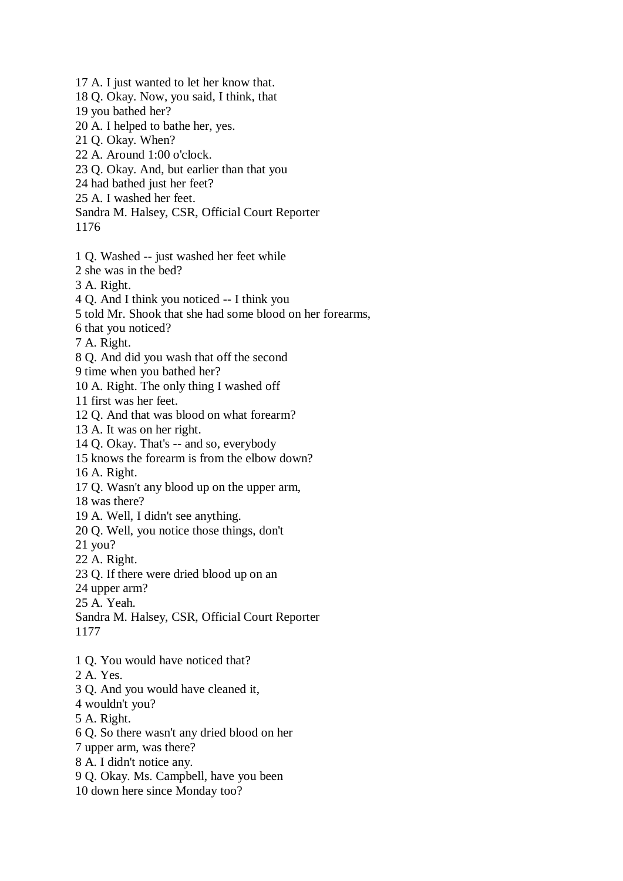17 A. I just wanted to let her know that. 18 Q. Okay. Now, you said, I think, that 19 you bathed her? 20 A. I helped to bathe her, yes. 21 Q. Okay. When? 22 A. Around 1:00 o'clock. 23 Q. Okay. And, but earlier than that you 24 had bathed just her feet? 25 A. I washed her feet. Sandra M. Halsey, CSR, Official Court Reporter 1176 1 Q. Washed -- just washed her feet while 2 she was in the bed? 3 A. Right. 4 Q. And I think you noticed -- I think you 5 told Mr. Shook that she had some blood on her forearms, 6 that you noticed? 7 A. Right. 8 Q. And did you wash that off the second 9 time when you bathed her? 10 A. Right. The only thing I washed off 11 first was her feet. 12 Q. And that was blood on what forearm? 13 A. It was on her right. 14 Q. Okay. That's -- and so, everybody 15 knows the forearm is from the elbow down? 16 A. Right. 17 Q. Wasn't any blood up on the upper arm, 18 was there? 19 A. Well, I didn't see anything. 20 Q. Well, you notice those things, don't 21 you? 22 A. Right. 23 Q. If there were dried blood up on an 24 upper arm? 25 A. Yeah. Sandra M. Halsey, CSR, Official Court Reporter 1177 1 Q. You would have noticed that? 2 A. Yes. 3 Q. And you would have cleaned it, 4 wouldn't you? 5 A. Right. 6 Q. So there wasn't any dried blood on her 7 upper arm, was there? 8 A. I didn't notice any. 9 Q. Okay. Ms. Campbell, have you been

10 down here since Monday too?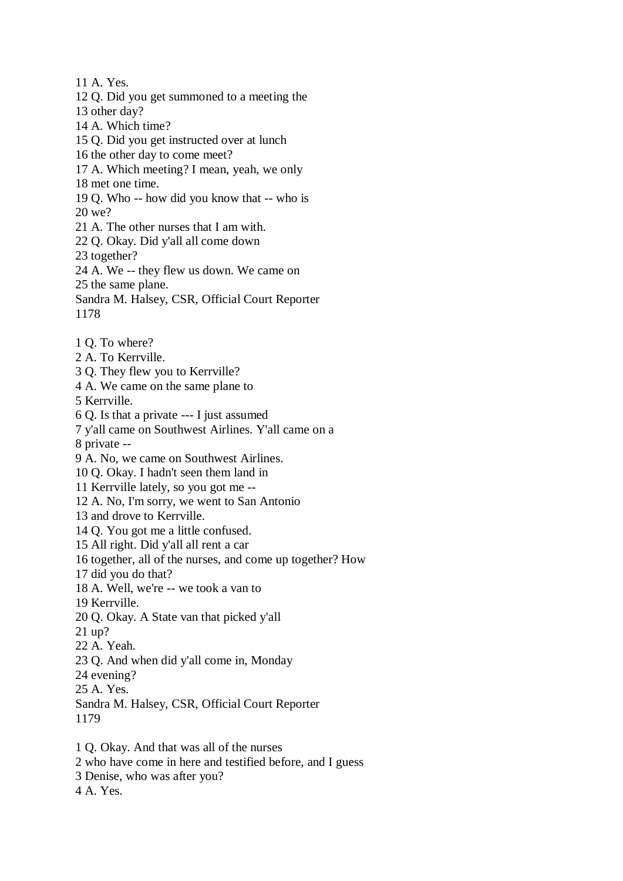11 A. Yes. 12 Q. Did you get summoned to a meeting the 13 other day? 14 A. Which time? 15 Q. Did you get instructed over at lunch 16 the other day to come meet? 17 A. Which meeting? I mean, yeah, we only 18 met one time. 19 Q. Who -- how did you know that -- who is 20 we? 21 A. The other nurses that I am with. 22 Q. Okay. Did y'all all come down 23 together? 24 A. We -- they flew us down. We came on 25 the same plane. Sandra M. Halsey, CSR, Official Court Reporter 1178 1 Q. To where? 2 A. To Kerrville. 3 Q. They flew you to Kerrville? 4 A. We came on the same plane to 5 Kerrville. 6 Q. Is that a private --- I just assumed 7 y'all came on Southwest Airlines. Y'all came on a 8 private -- 9 A. No, we came on Southwest Airlines. 10 Q. Okay. I hadn't seen them land in 11 Kerrville lately, so you got me -- 12 A. No, I'm sorry, we went to San Antonio 13 and drove to Kerrville. 14 Q. You got me a little confused. 15 All right. Did y'all all rent a car 16 together, all of the nurses, and come up together? How 17 did you do that? 18 A. Well, we're -- we took a van to 19 Kerrville. 20 Q. Okay. A State van that picked y'all 21 up? 22 A. Yeah. 23 Q. And when did y'all come in, Monday 24 evening? 25 A. Yes. Sandra M. Halsey, CSR, Official Court Reporter 1179 1 Q. Okay. And that was all of the nurses 2 who have come in here and testified before, and I guess

- 3 Denise, who was after you?
- 4 A. Yes.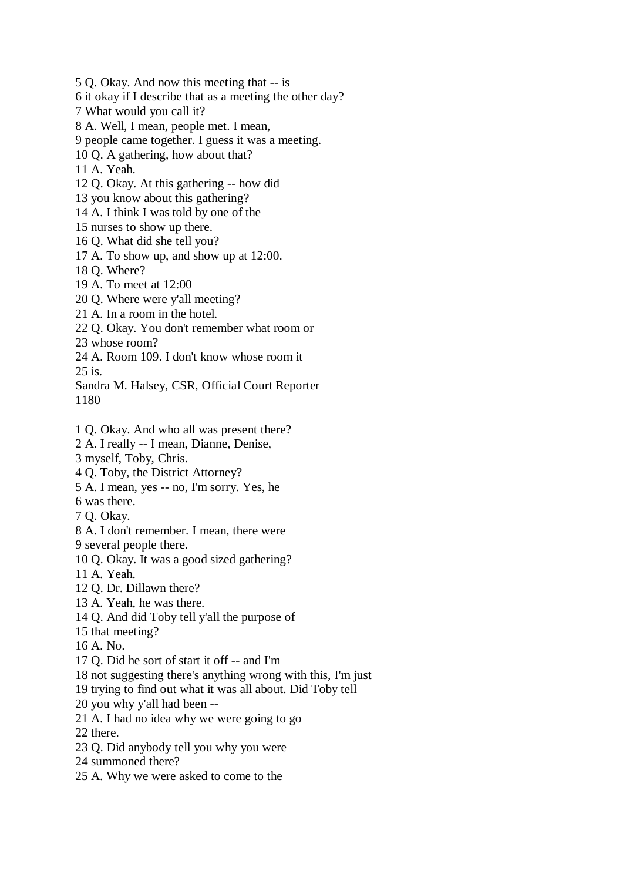5 Q. Okay. And now this meeting that -- is 6 it okay if I describe that as a meeting the other day? 7 What would you call it? 8 A. Well, I mean, people met. I mean, 9 people came together. I guess it was a meeting. 10 Q. A gathering, how about that? 11 A. Yeah. 12 Q. Okay. At this gathering -- how did 13 you know about this gathering? 14 A. I think I was told by one of the 15 nurses to show up there. 16 Q. What did she tell you? 17 A. To show up, and show up at 12:00. 18 Q. Where? 19 A. To meet at 12:00 20 Q. Where were y'all meeting? 21 A. In a room in the hotel. 22 Q. Okay. You don't remember what room or 23 whose room? 24 A. Room 109. I don't know whose room it 25 is. Sandra M. Halsey, CSR, Official Court Reporter 1180 1 Q. Okay. And who all was present there? 2 A. I really -- I mean, Dianne, Denise, 3 myself, Toby, Chris. 4 Q. Toby, the District Attorney? 5 A. I mean, yes -- no, I'm sorry. Yes, he 6 was there. 7 Q. Okay. 8 A. I don't remember. I mean, there were 9 several people there. 10 Q. Okay. It was a good sized gathering? 11 A. Yeah. 12 Q. Dr. Dillawn there? 13 A. Yeah, he was there. 14 Q. And did Toby tell y'all the purpose of 15 that meeting? 16 A. No. 17 Q. Did he sort of start it off -- and I'm 18 not suggesting there's anything wrong with this, I'm just 19 trying to find out what it was all about. Did Toby tell 20 you why y'all had been -- 21 A. I had no idea why we were going to go 22 there. 23 Q. Did anybody tell you why you were 24 summoned there? 25 A. Why we were asked to come to the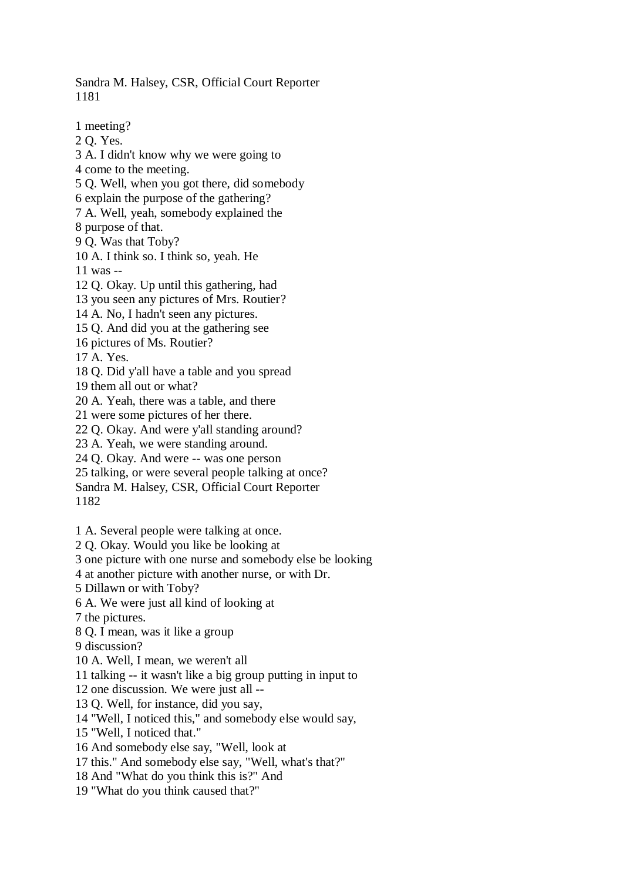Sandra M. Halsey, CSR, Official Court Reporter 1181

1 meeting? 2 Q. Yes. 3 A. I didn't know why we were going to 4 come to the meeting. 5 Q. Well, when you got there, did somebody 6 explain the purpose of the gathering? 7 A. Well, yeah, somebody explained the 8 purpose of that. 9 Q. Was that Toby? 10 A. I think so. I think so, yeah. He 11 was -- 12 Q. Okay. Up until this gathering, had 13 you seen any pictures of Mrs. Routier? 14 A. No, I hadn't seen any pictures. 15 Q. And did you at the gathering see 16 pictures of Ms. Routier? 17 A. Yes. 18 Q. Did y'all have a table and you spread 19 them all out or what? 20 A. Yeah, there was a table, and there 21 were some pictures of her there. 22 Q. Okay. And were y'all standing around? 23 A. Yeah, we were standing around. 24 Q. Okay. And were -- was one person 25 talking, or were several people talking at once? Sandra M. Halsey, CSR, Official Court Reporter 1182 1 A. Several people were talking at once. 2 Q. Okay. Would you like be looking at 3 one picture with one nurse and somebody else be looking 4 at another picture with another nurse, or with Dr. 5 Dillawn or with Toby? 6 A. We were just all kind of looking at 7 the pictures. 8 Q. I mean, was it like a group 9 discussion? 10 A. Well, I mean, we weren't all 11 talking -- it wasn't like a big group putting in input to 12 one discussion. We were just all -- 13 Q. Well, for instance, did you say, 14 "Well, I noticed this," and somebody else would say, 15 "Well, I noticed that." 16 And somebody else say, "Well, look at 17 this." And somebody else say, "Well, what's that?"

18 And "What do you think this is?" And 19 "What do you think caused that?"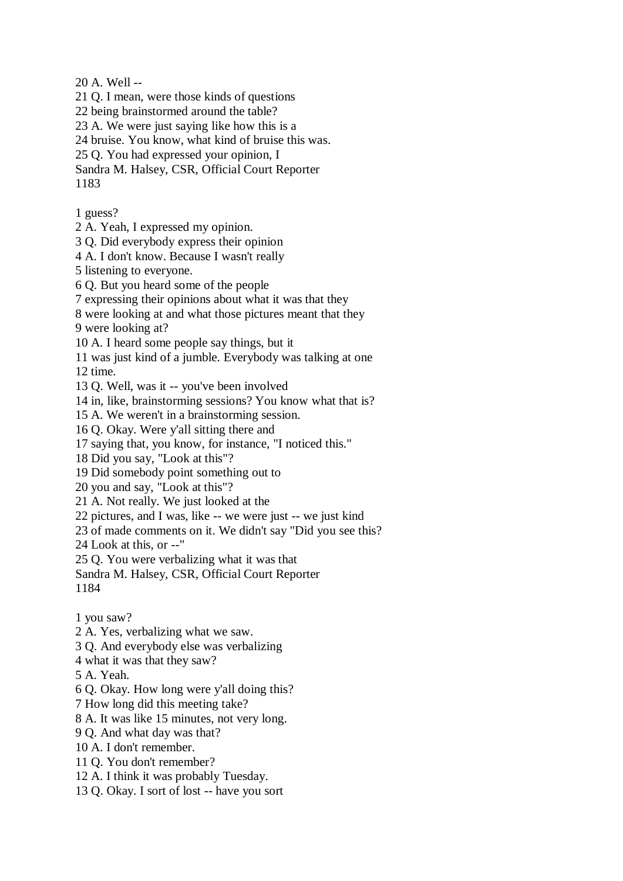20 A. Well --

21 Q. I mean, were those kinds of questions

22 being brainstormed around the table?

23 A. We were just saying like how this is a

24 bruise. You know, what kind of bruise this was.

25 Q. You had expressed your opinion, I

Sandra M. Halsey, CSR, Official Court Reporter 1183

1 guess?

2 A. Yeah, I expressed my opinion.

3 Q. Did everybody express their opinion

4 A. I don't know. Because I wasn't really

5 listening to everyone.

6 Q. But you heard some of the people

7 expressing their opinions about what it was that they

8 were looking at and what those pictures meant that they

9 were looking at?

10 A. I heard some people say things, but it

11 was just kind of a jumble. Everybody was talking at one 12 time.

13 Q. Well, was it -- you've been involved

14 in, like, brainstorming sessions? You know what that is?

15 A. We weren't in a brainstorming session.

16 Q. Okay. Were y'all sitting there and

17 saying that, you know, for instance, "I noticed this."

18 Did you say, "Look at this"?

19 Did somebody point something out to

20 you and say, "Look at this"?

21 A. Not really. We just looked at the

22 pictures, and I was, like -- we were just -- we just kind

23 of made comments on it. We didn't say "Did you see this?

24 Look at this, or --"

25 Q. You were verbalizing what it was that

Sandra M. Halsey, CSR, Official Court Reporter 1184

1 you saw?

2 A. Yes, verbalizing what we saw.

3 Q. And everybody else was verbalizing

4 what it was that they saw?

5 A. Yeah.

6 Q. Okay. How long were y'all doing this?

7 How long did this meeting take?

8 A. It was like 15 minutes, not very long.

9 Q. And what day was that?

10 A. I don't remember.

11 Q. You don't remember?

12 A. I think it was probably Tuesday.

13 Q. Okay. I sort of lost -- have you sort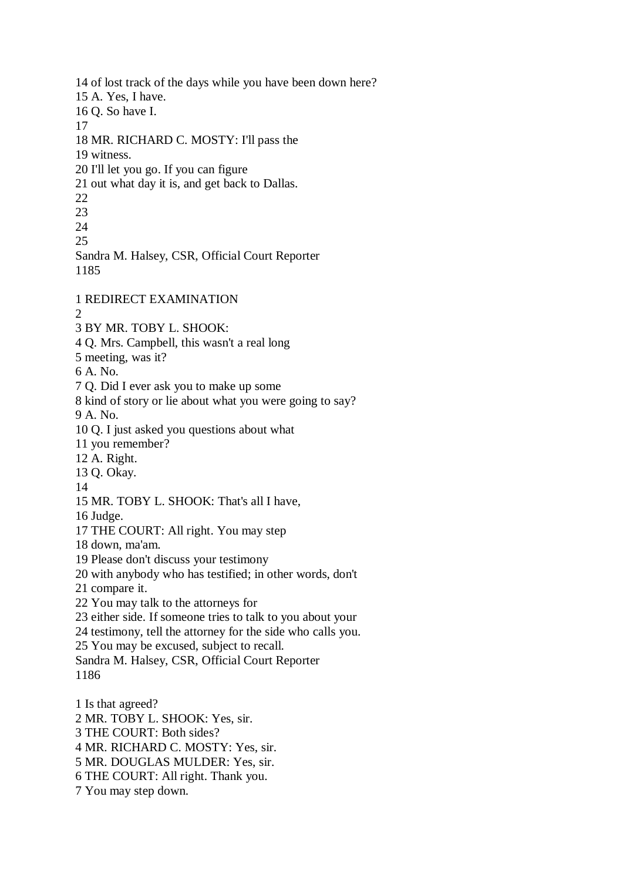14 of lost track of the days while you have been down here? 15 A. Yes, I have. 16 Q. So have I. 17 18 MR. RICHARD C. MOSTY: I'll pass the 19 witness. 20 I'll let you go. If you can figure 21 out what day it is, and get back to Dallas. 22 23  $24$ 25 Sandra M. Halsey, CSR, Official Court Reporter 1185 1 REDIRECT EXAMINATION  $\mathcal{D}_{\alpha}$ 3 BY MR. TOBY L. SHOOK: 4 Q. Mrs. Campbell, this wasn't a real long 5 meeting, was it? 6 A. No. 7 Q. Did I ever ask you to make up some 8 kind of story or lie about what you were going to say? 9 A. No. 10 Q. I just asked you questions about what 11 you remember? 12 A. Right. 13 Q. Okay. 14 15 MR. TOBY L. SHOOK: That's all I have, 16 Judge. 17 THE COURT: All right. You may step 18 down, ma'am. 19 Please don't discuss your testimony 20 with anybody who has testified; in other words, don't 21 compare it. 22 You may talk to the attorneys for 23 either side. If someone tries to talk to you about your 24 testimony, tell the attorney for the side who calls you. 25 You may be excused, subject to recall. Sandra M. Halsey, CSR, Official Court Reporter 1186 1 Is that agreed? 2 MR. TOBY L. SHOOK: Yes, sir. 3 THE COURT: Both sides? 4 MR. RICHARD C. MOSTY: Yes, sir.

5 MR. DOUGLAS MULDER: Yes, sir.

6 THE COURT: All right. Thank you.

7 You may step down.